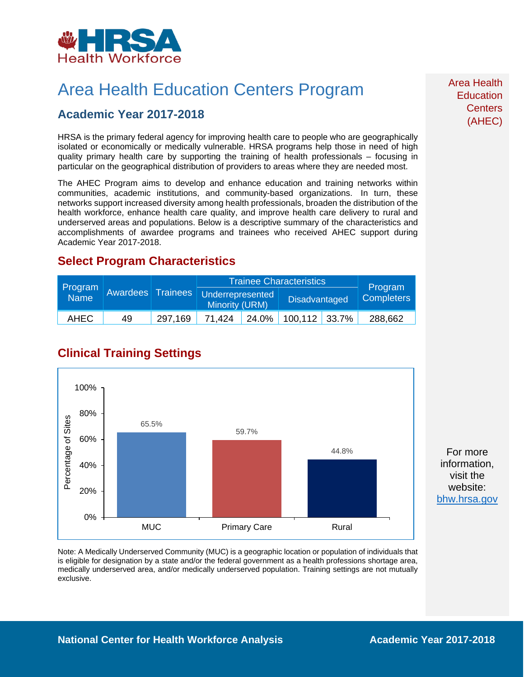

## Area Health Education Centers Program

### **Academic Year 2017-2018**

HRSA is the primary federal agency for improving health care to people who are geographically isolated or economically or medically vulnerable. HRSA programs help those in need of high quality primary health care by supporting the training of health professionals – focusing in particular on the geographical distribution of providers to areas where they are needed most.

The AHEC Program aims to develop and enhance education and training networks within communities, academic institutions, and community-based organizations. In turn, these networks support increased diversity among health professionals, broaden the distribution of the health workforce, enhance health care quality, and improve health care delivery to rural and underserved areas and populations. Below is a descriptive summary of the characteristics and accomplishments of awardee programs and trainees who received AHEC support during Academic Year 2017-2018.

### **Select Program Characteristics**

| Program<br>Name | <b>Awardees</b> Trainees |         | <b>Trainee Characteristics</b>            |       |                 |  |                              |
|-----------------|--------------------------|---------|-------------------------------------------|-------|-----------------|--|------------------------------|
|                 |                          |         | Underrepresented<br><b>Minority (URM)</b> |       | Disadvantaged   |  | Program<br><b>Completers</b> |
| AHEC            | 49                       | 297.169 | 71.424                                    | 24.0% | $100,112$ 33.7% |  | 288,662                      |

## **Clinical Training Settings**



For more information, visit the website: [bhw.hrsa.gov](http://bhw.hrsa.gov/)

Note: A Medically Underserved Community (MUC) is a geographic location or population of individuals that is eligible for designation by a state and/or the federal government as a health professions shortage area, medically underserved area, and/or medically underserved population. Training settings are not mutually exclusive.

Area Health **Education Centers** (AHEC)